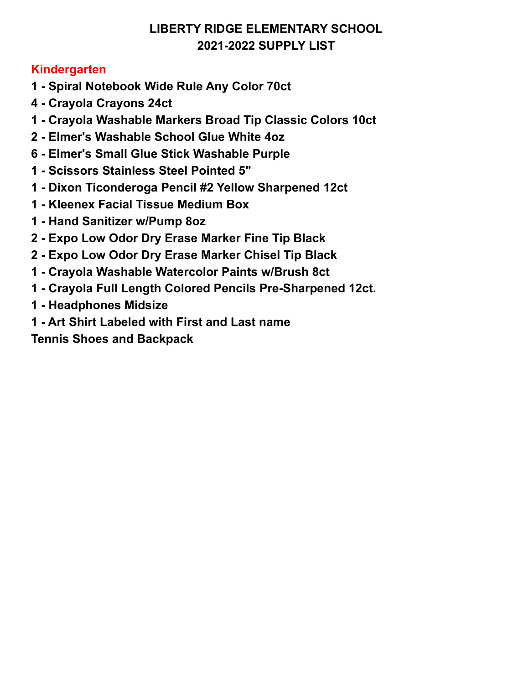## **Kindergarten**

- **- Spiral Notebook Wide Rule Any Color 70ct**
- **- Crayola Crayons 24ct**
- **- Crayola Washable Markers Broad Tip Classic Colors 10ct**
- **- Elmer's Washable School Glue White 4oz**
- **- Elmer's Small Glue Stick Washable Purple**
- **- Scissors Stainless Steel Pointed 5"**
- **- Dixon Ticonderoga Pencil #2 Yellow Sharpened 12ct**
- **- Kleenex Facial Tissue Medium Box**
- **- Hand Sanitizer w/Pump 8oz**
- **- Expo Low Odor Dry Erase Marker Fine Tip Black**
- **- Expo Low Odor Dry Erase Marker Chisel Tip Black**
- **- Crayola Washable Watercolor Paints w/Brush 8ct**
- **- Crayola Full Length Colored Pencils Pre-Sharpened 12ct.**
- **- Headphones Midsize**
- **- Art Shirt Labeled with First and Last name**

**Tennis Shoes and Backpack**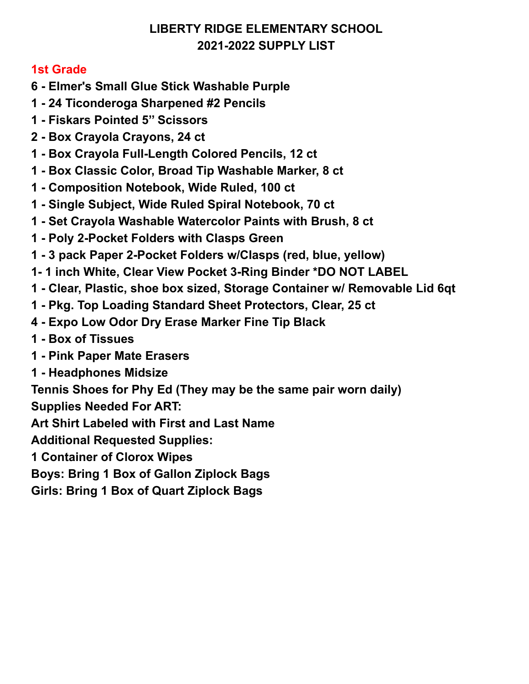#### **1st Grade**

- **- Elmer's Small Glue Stick Washable Purple**
- **- 24 Ticonderoga Sharpened #2 Pencils**
- **- Fiskars Pointed 5'' Scissors**
- **- Box Crayola Crayons, 24 ct**
- **- Box Crayola Full-Length Colored Pencils, 12 ct**
- **- Box Classic Color, Broad Tip Washable Marker, 8 ct**
- **- Composition Notebook, Wide Ruled, 100 ct**
- **- Single Subject, Wide Ruled Spiral Notebook, 70 ct**
- **- Set Crayola Washable Watercolor Paints with Brush, 8 ct**
- **- Poly 2-Pocket Folders with Clasps Green**
- **- 3 pack Paper 2-Pocket Folders w/Clasps (red, blue, yellow)**
- **1- 1 inch White, Clear View Pocket 3-Ring Binder \*DO NOT LABEL**
- **- Clear, Plastic, shoe box sized, Storage Container w/ Removable Lid 6qt**
- **- Pkg. Top Loading Standard Sheet Protectors, Clear, 25 ct**
- **- Expo Low Odor Dry Erase Marker Fine Tip Black**
- **- Box of Tissues**
- **- Pink Paper Mate Erasers**
- **- Headphones Midsize**
- **Tennis Shoes for Phy Ed (They may be the same pair worn daily)**

**Supplies Needed For ART:**

**Art Shirt Labeled with First and Last Name**

**Additional Requested Supplies:**

**Container of Clorox Wipes**

**Boys: Bring 1 Box of Gallon Ziplock Bags**

**Girls: Bring 1 Box of Quart Ziplock Bags**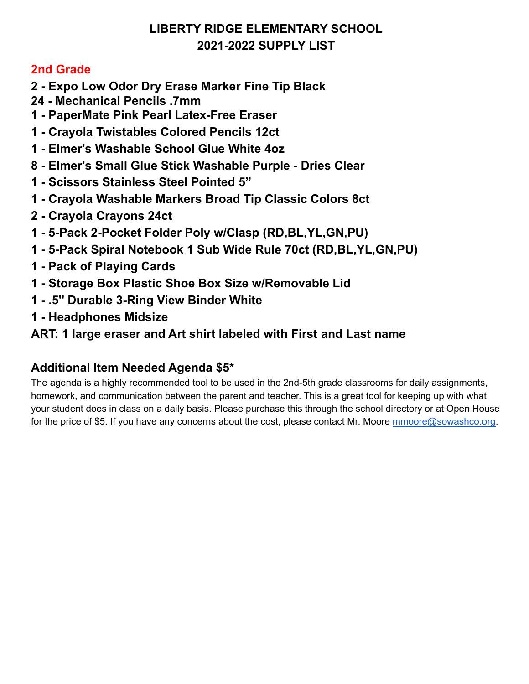#### **2nd Grade**

- **- Expo Low Odor Dry Erase Marker Fine Tip Black**
- **- Mechanical Pencils .7mm**
- **- PaperMate Pink Pearl Latex-Free Eraser**
- **- Crayola Twistables Colored Pencils 12ct**
- **- Elmer's Washable School Glue White 4oz**
- **- Elmer's Small Glue Stick Washable Purple - Dries Clear**
- **- Scissors Stainless Steel Pointed 5"**
- **- Crayola Washable Markers Broad Tip Classic Colors 8ct**
- **- Crayola Crayons 24ct**
- **- 5-Pack 2-Pocket Folder Poly w/Clasp (RD,BL,YL,GN,PU)**
- **- 5-Pack Spiral Notebook 1 Sub Wide Rule 70ct (RD,BL,YL,GN,PU)**
- **- Pack of Playing Cards**
- **- Storage Box Plastic Shoe Box Size w/Removable Lid**
- **- .5" Durable 3-Ring View Binder White**
- **- Headphones Midsize**

## **ART: 1 large eraser and Art shirt labeled with First and Last name**

## **Additional Item Needed Agenda \$5\***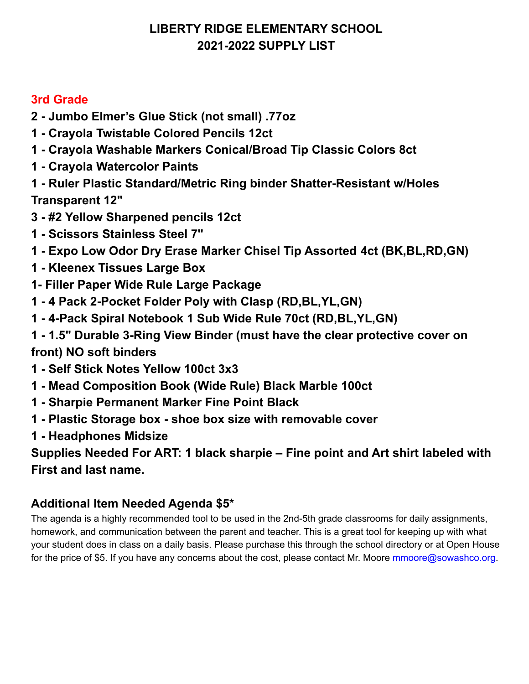## **3rd Grade**

- **2 - Jumbo Elmer's Glue Stick (not small) .77oz**
- **1 - Crayola Twistable Colored Pencils 12ct**
- **1 - Crayola Washable Markers Conical/Broad Tip Classic Colors 8ct**
- **1 - Crayola Watercolor Paints**
- **1 - Ruler Plastic Standard/Metric Ring binder Shatter-Resistant w/Holes Transparent 12"**
- **3 - #2 Yellow Sharpened pencils 12ct**
- **1 - Scissors Stainless Steel 7"**
- **1 - Expo Low Odor Dry Erase Marker Chisel Tip Assorted 4ct (BK,BL,RD,GN)**
- **1 - Kleenex Tissues Large Box**
- **1- Filler Paper Wide Rule Large Package**
- **1 - 4 Pack 2-Pocket Folder Poly with Clasp (RD,BL,YL,GN)**
- **1 - 4-Pack Spiral Notebook 1 Sub Wide Rule 70ct (RD,BL,YL,GN)**
- **1 - 1.5" Durable 3-Ring View Binder (must have the clear protective cover on front) NO soft binders**
- **1 - Self Stick Notes Yellow 100ct 3x3**
- **1 - Mead Composition Book (Wide Rule) Black Marble 100ct**
- **1 - Sharpie Permanent Marker Fine Point Black**
- **1 - Plastic Storage box - shoe box size with removable cover**
- **1 - Headphones Midsize**

**Supplies Needed For ART: 1 black sharpie – Fine point and Art shirt labeled with First and last name.**

## **Additional Item Needed Agenda \$5\***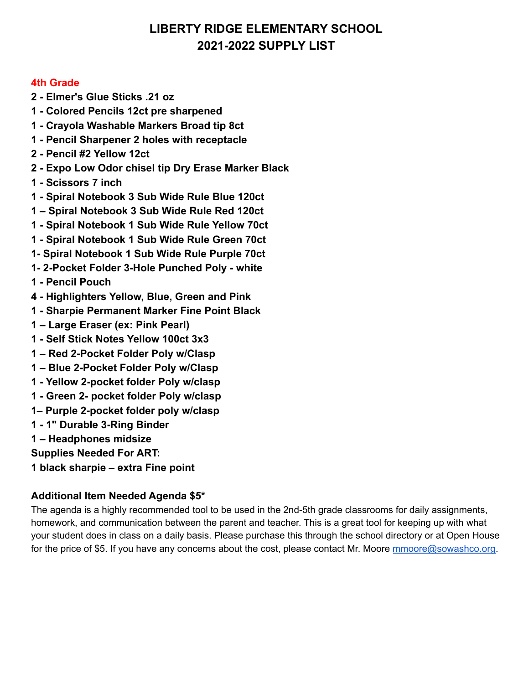#### **4th Grade**

- **2 Elmer's Glue Sticks .21 oz**
- **1 Colored Pencils 12ct pre sharpened**
- **1 Crayola Washable Markers Broad tip 8ct**
- **1 Pencil Sharpener 2 holes with receptacle**
- **2 Pencil #2 Yellow 12ct**
- **2 Expo Low Odor chisel tip Dry Erase Marker Black**
- **1 Scissors 7 inch**
- **1 Spiral Notebook 3 Sub Wide Rule Blue 120ct**
- **1 Spiral Notebook 3 Sub Wide Rule Red 120ct**
- **1 Spiral Notebook 1 Sub Wide Rule Yellow 70ct**
- **1 Spiral Notebook 1 Sub Wide Rule Green 70ct**
- **1- Spiral Notebook 1 Sub Wide Rule Purple 70ct**
- **1- 2-Pocket Folder 3-Hole Punched Poly white**
- **1 Pencil Pouch**
- **4 Highlighters Yellow, Blue, Green and Pink**
- **1 Sharpie Permanent Marker Fine Point Black**
- **1 Large Eraser (ex: Pink Pearl)**
- **1 Self Stick Notes Yellow 100ct 3x3**
- **1 Red 2-Pocket Folder Poly w/Clasp**
- **1 Blue 2-Pocket Folder Poly w/Clasp**
- **1 Yellow 2-pocket folder Poly w/clasp**
- **1 Green 2- pocket folder Poly w/clasp**
- **1– Purple 2-pocket folder poly w/clasp**
- **1 1" Durable 3-Ring Binder**
- **1 Headphones midsize**
- **Supplies Needed For ART:**
- **1 black sharpie extra Fine point**

#### **Additional Item Needed Agenda \$5\***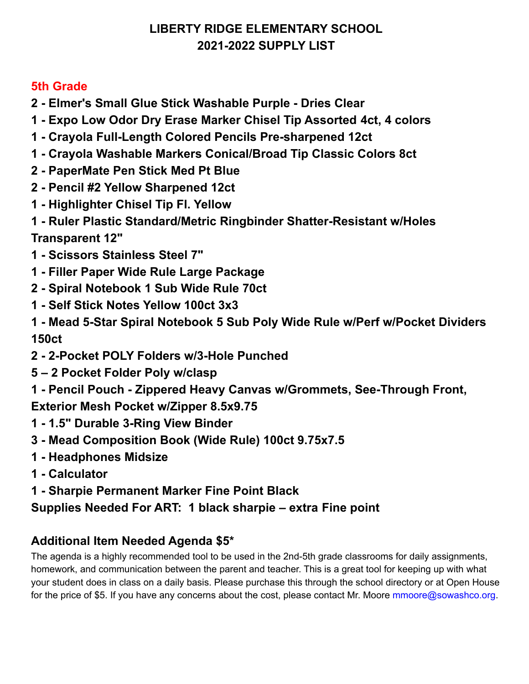## **5th Grade**

- **- Elmer's Small Glue Stick Washable Purple - Dries Clear**
- **- Expo Low Odor Dry Erase Marker Chisel Tip Assorted 4ct, 4 colors**
- **- Crayola Full-Length Colored Pencils Pre-sharpened 12ct**
- **- Crayola Washable Markers Conical/Broad Tip Classic Colors 8ct**
- **- PaperMate Pen Stick Med Pt Blue**
- **- Pencil #2 Yellow Sharpened 12ct**
- **- Highlighter Chisel Tip Fl. Yellow**
- **- Ruler Plastic Standard/Metric Ringbinder Shatter-Resistant w/Holes Transparent 12"**
- **- Scissors Stainless Steel 7"**
- **- Filler Paper Wide Rule Large Package**
- **- Spiral Notebook 1 Sub Wide Rule 70ct**
- **- Self Stick Notes Yellow 100ct 3x3**
- **- Mead 5-Star Spiral Notebook 5 Sub Poly Wide Rule w/Perf w/Pocket Dividers 150ct**
- **- 2-Pocket POLY Folders w/3-Hole Punched**
- **– 2 Pocket Folder Poly w/clasp**
- **- Pencil Pouch - Zippered Heavy Canvas w/Grommets, See-Through Front, Exterior Mesh Pocket w/Zipper 8.5x9.75**
- **- 1.5" Durable 3-Ring View Binder**
- **- Mead Composition Book (Wide Rule) 100ct 9.75x7.5**
- **- Headphones Midsize**
- **- Calculator**
- **- Sharpie Permanent Marker Fine Point Black**

## **Supplies Needed For ART: 1 black sharpie – extra Fine point**

# **Additional Item Needed Agenda \$5\***